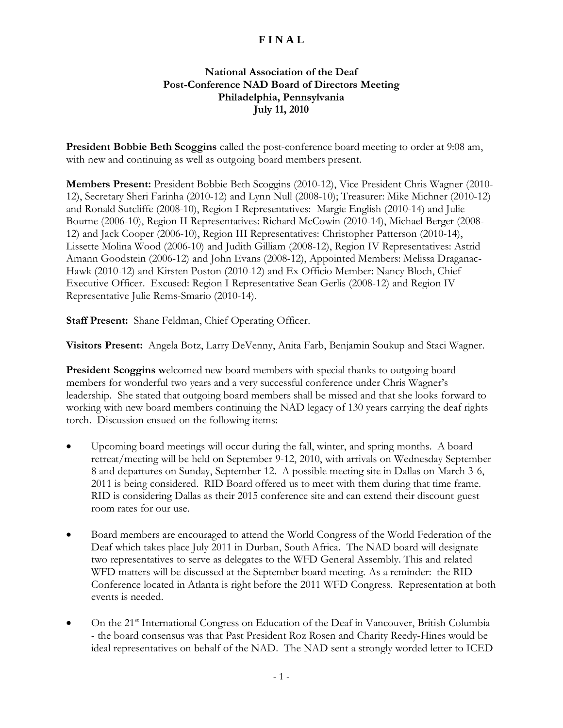## **F I N A L**

## **National Association of the Deaf Post-Conference NAD Board of Directors Meeting Philadelphia, Pennsylvania July 11, 2010**

**President Bobbie Beth Scoggins** called the post-conference board meeting to order at 9:08 am, with new and continuing as well as outgoing board members present.

**Members Present:** President Bobbie Beth Scoggins (2010-12), Vice President Chris Wagner (2010- 12), Secretary Sheri Farinha (2010-12) and Lynn Null (2008-10); Treasurer: Mike Michner (2010-12) and Ronald Sutcliffe (2008-10), Region I Representatives: Margie English (2010-14) and Julie Bourne (2006-10), Region II Representatives: Richard McCowin (2010-14), Michael Berger (2008- 12) and Jack Cooper (2006-10), Region III Representatives: Christopher Patterson (2010-14), Lissette Molina Wood (2006-10) and Judith Gilliam (2008-12), Region IV Representatives: Astrid Amann Goodstein (2006-12) and John Evans (2008-12), Appointed Members: Melissa Draganac-Hawk (2010-12) and Kirsten Poston (2010-12) and Ex Officio Member: Nancy Bloch, Chief Executive Officer. Excused: Region I Representative Sean Gerlis (2008-12) and Region IV Representative Julie Rems-Smario (2010-14).

**Staff Present:** Shane Feldman, Chief Operating Officer.

**Visitors Present:** Angela Botz, Larry DeVenny, Anita Farb, Benjamin Soukup and Staci Wagner.

**President Scoggins** welcomed new board members with special thanks to outgoing board members for wonderful two years and a very successful conference under Chris Wagner's leadership. She stated that outgoing board members shall be missed and that she looks forward to working with new board members continuing the NAD legacy of 130 years carrying the deaf rights torch. Discussion ensued on the following items:

- Upcoming board meetings will occur during the fall, winter, and spring months. A board retreat/meeting will be held on September 9-12, 2010, with arrivals on Wednesday September 8 and departures on Sunday, September 12. A possible meeting site in Dallas on March 3-6, 2011 is being considered. RID Board offered us to meet with them during that time frame. RID is considering Dallas as their 2015 conference site and can extend their discount guest room rates for our use.
- Board members are encouraged to attend the World Congress of the World Federation of the Deaf which takes place July 2011 in Durban, South Africa. The NAD board will designate two representatives to serve as delegates to the WFD General Assembly. This and related WFD matters will be discussed at the September board meeting. As a reminder: the RID Conference located in Atlanta is right before the 2011 WFD Congress. Representation at both events is needed.
- On the 21<sup>st</sup> International Congress on Education of the Deaf in Vancouver, British Columbia - the board consensus was that Past President Roz Rosen and Charity Reedy-Hines would be ideal representatives on behalf of the NAD. The NAD sent a strongly worded letter to ICED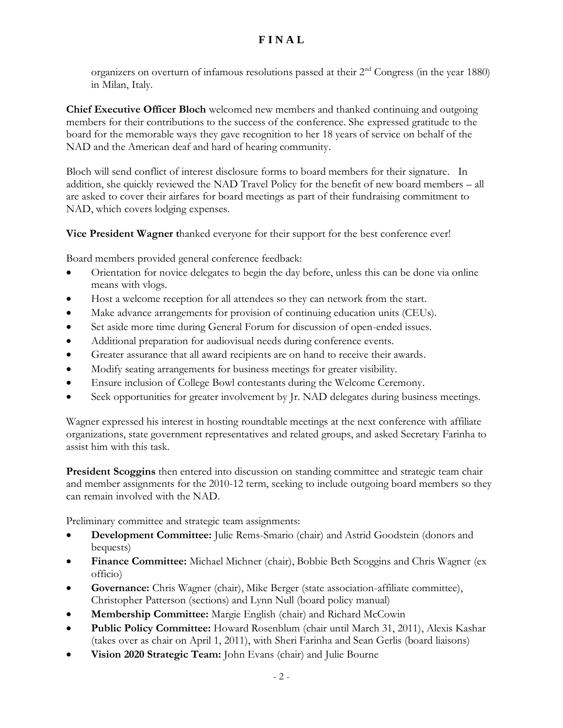## **F I N A L**

organizers on overturn of infamous resolutions passed at their  $2<sup>nd</sup>$  Congress (in the year 1880) in Milan, Italy.

**Chief Executive Officer Bloch** welcomed new members and thanked continuing and outgoing members for their contributions to the success of the conference. She expressed gratitude to the board for the memorable ways they gave recognition to her 18 years of service on behalf of the NAD and the American deaf and hard of hearing community.

Bloch will send conflict of interest disclosure forms to board members for their signature. In addition, she quickly reviewed the NAD Travel Policy for the benefit of new board members – all are asked to cover their airfares for board meetings as part of their fundraising commitment to NAD, which covers lodging expenses.

**Vice President Wagner t**hanked everyone for their support for the best conference ever!

Board members provided general conference feedback:

- Orientation for novice delegates to begin the day before, unless this can be done via online means with vlogs.
- Host a welcome reception for all attendees so they can network from the start.
- Make advance arrangements for provision of continuing education units (CEUs).
- Set aside more time during General Forum for discussion of open-ended issues.
- Additional preparation for audiovisual needs during conference events.
- Greater assurance that all award recipients are on hand to receive their awards.
- Modify seating arrangements for business meetings for greater visibility.
- Ensure inclusion of College Bowl contestants during the Welcome Ceremony.
- Seek opportunities for greater involvement by Jr. NAD delegates during business meetings.

Wagner expressed his interest in hosting roundtable meetings at the next conference with affiliate organizations, state government representatives and related groups, and asked Secretary Farinha to assist him with this task.

**President Scoggins** then entered into discussion on standing committee and strategic team chair and member assignments for the 2010-12 term, seeking to include outgoing board members so they can remain involved with the NAD.

Preliminary committee and strategic team assignments:

- **Development Committee:** Julie Rems-Smario (chair) and Astrid Goodstein (donors and bequests)
- **Finance Committee:** Michael Michner (chair), Bobbie Beth Scoggins and Chris Wagner (ex officio)
- **Governance:** Chris Wagner (chair), Mike Berger (state association-affiliate committee), Christopher Patterson (sections) and Lynn Null (board policy manual)
- **Membership Committee:** Margie English (chair) and Richard McCowin
- **Public Policy Committee:** Howard Rosenblum (chair until March 31, 2011), Alexis Kashar (takes over as chair on April 1, 2011), with Sheri Farinha and Sean Gerlis (board liaisons)
- **Vision 2020 Strategic Team:** John Evans (chair) and Julie Bourne